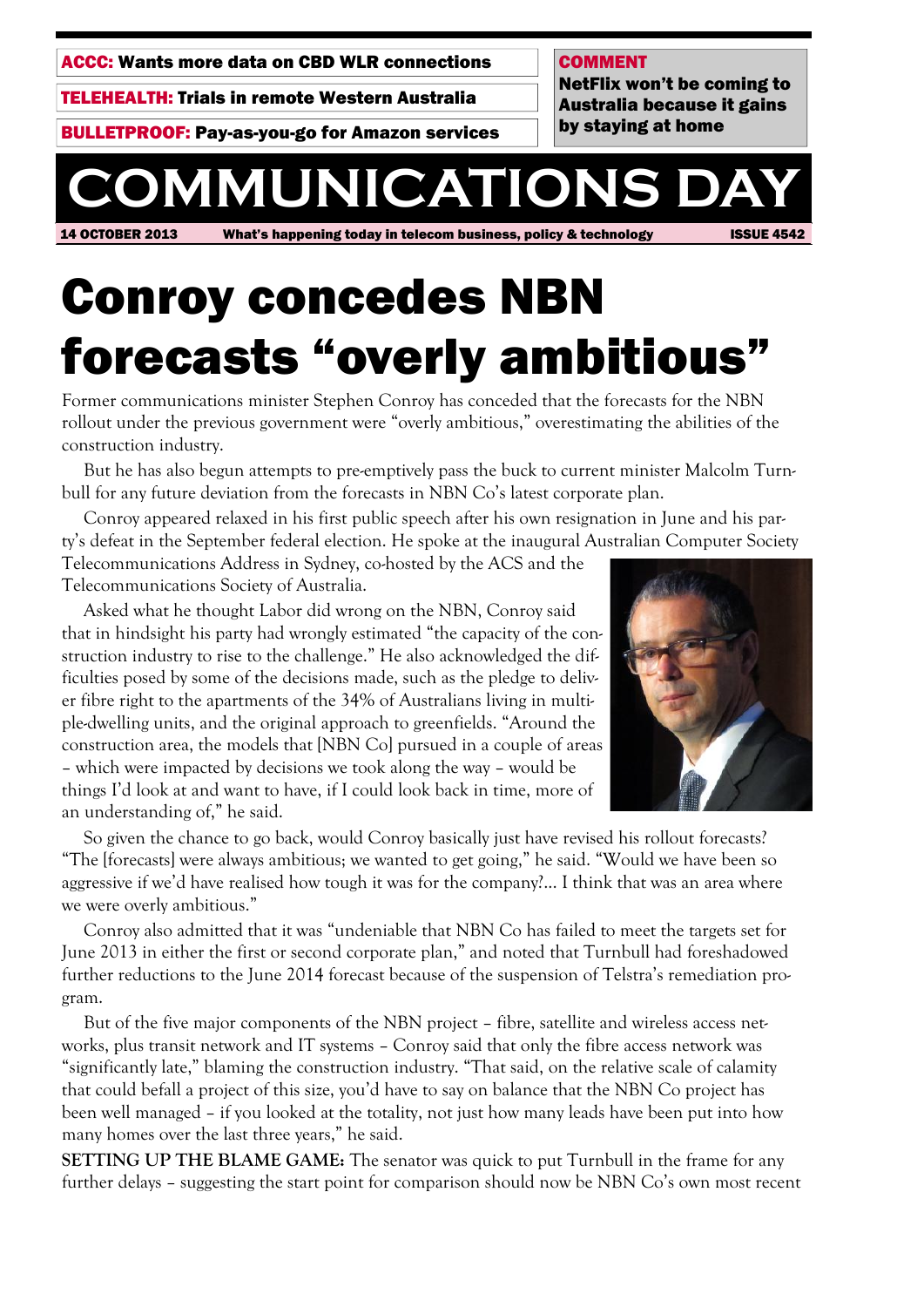ACCC: Wants more data on CBD WLR connections

TELEHEALTH: Trials in remote Western Australia

BULLETPROOF: Pay-as-you-go for Amazon services

#### COMMENT

NetFlix won't be coming to Australia because it gains by staying at home

# **COMMUNICATIONS**

14 OCTOBER 2013 What's happening today in telecom business, policy & technology ISSUE 4542

## Conroy concedes NBN forecasts "overly ambitious"

Former communications minister Stephen Conroy has conceded that the forecasts for the NBN rollout under the previous government were "overly ambitious," overestimating the abilities of the construction industry.

But he has also begun attempts to pre-emptively pass the buck to current minister Malcolm Turnbull for any future deviation from the forecasts in NBN Co's latest corporate plan.

Conroy appeared relaxed in his first public speech after his own resignation in June and his party's defeat in the September federal election. He spoke at the inaugural Australian Computer Society Telecommunications Address in Sydney, co-hosted by the ACS and the

Telecommunications Society of Australia.

Asked what he thought Labor did wrong on the NBN, Conroy said that in hindsight his party had wrongly estimated "the capacity of the construction industry to rise to the challenge." He also acknowledged the difficulties posed by some of the decisions made, such as the pledge to deliver fibre right to the apartments of the 34% of Australians living in multiple-dwelling units, and the original approach to greenfields. "Around the construction area, the models that [NBN Co] pursued in a couple of areas – which were impacted by decisions we took along the way – would be things I'd look at and want to have, if I could look back in time, more of an understanding of," he said.



So given the chance to go back, would Conroy basically just have revised his rollout forecasts? "The [forecasts] were always ambitious; we wanted to get going," he said. "Would we have been so aggressive if we'd have realised how tough it was for the company?... I think that was an area where we were overly ambitious."

Conroy also admitted that it was "undeniable that NBN Co has failed to meet the targets set for June 2013 in either the first or second corporate plan," and noted that Turnbull had foreshadowed further reductions to the June 2014 forecast because of the suspension of Telstra's remediation program.

But of the five major components of the NBN project – fibre, satellite and wireless access networks, plus transit network and IT systems – Conroy said that only the fibre access network was "significantly late," blaming the construction industry. "That said, on the relative scale of calamity that could befall a project of this size, you'd have to say on balance that the NBN Co project has been well managed – if you looked at the totality, not just how many leads have been put into how many homes over the last three years," he said.

**SETTING UP THE BLAME GAME:** The senator was quick to put Turnbull in the frame for any further delays – suggesting the start point for comparison should now be NBN Co's own most recent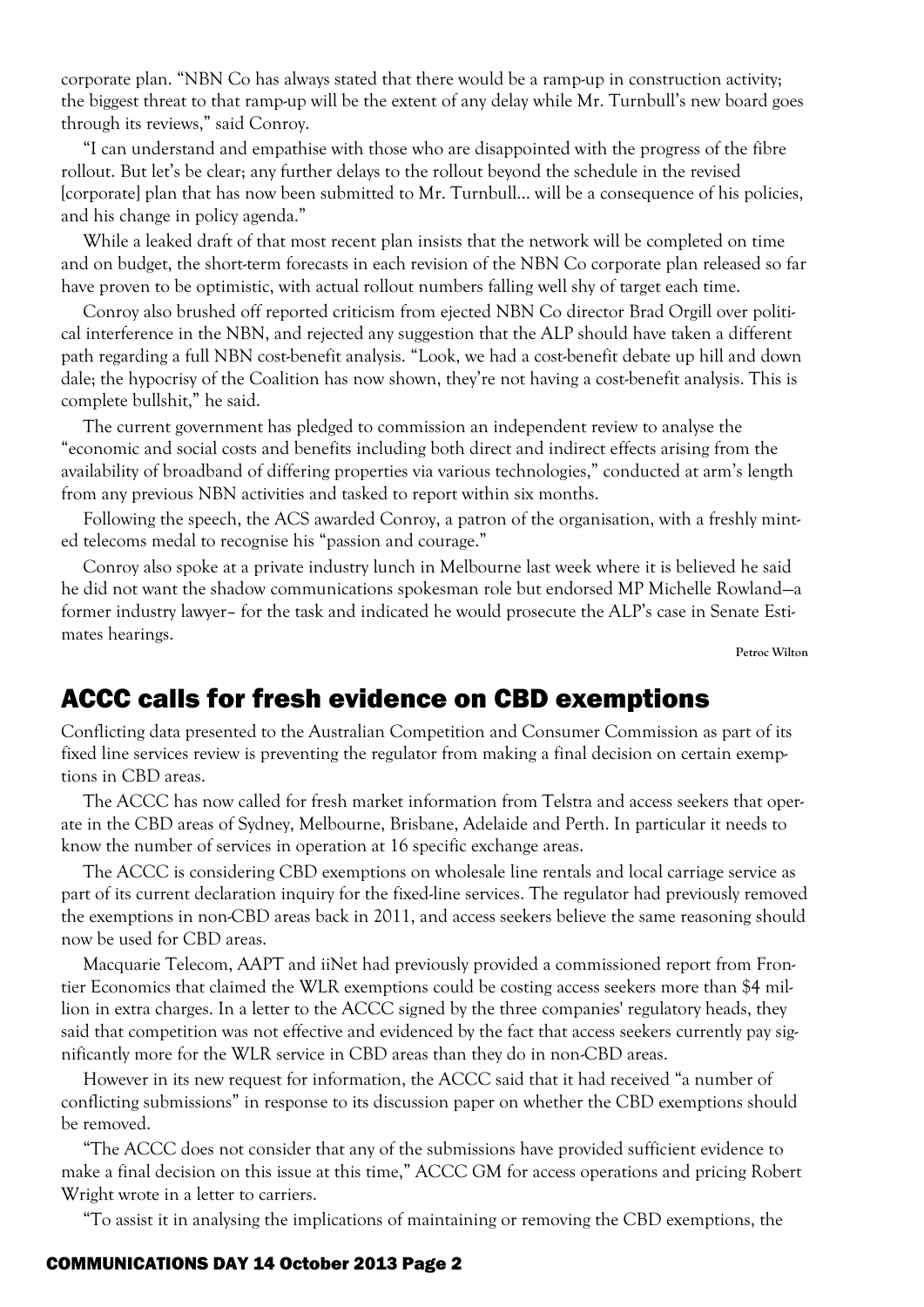corporate plan. "NBN Co has always stated that there would be a ramp-up in construction activity; the biggest threat to that ramp-up will be the extent of any delay while Mr. Turnbull's new board goes through its reviews," said Conroy.

"I can understand and empathise with those who are disappointed with the progress of the fibre rollout. But let's be clear; any further delays to the rollout beyond the schedule in the revised [corporate] plan that has now been submitted to Mr. Turnbull... will be a consequence of his policies, and his change in policy agenda."

While a leaked draft of that most recent plan insists that the network will be completed on time and on budget, the short-term forecasts in each revision of the NBN Co corporate plan released so far have proven to be optimistic, with actual rollout numbers falling well shy of target each time.

Conroy also brushed off reported criticism from ejected NBN Co director Brad Orgill over political interference in the NBN, and rejected any suggestion that the ALP should have taken a different path regarding a full NBN cost-benefit analysis. "Look, we had a cost-benefit debate up hill and down dale; the hypocrisy of the Coalition has now shown, they're not having a cost-benefit analysis. This is complete bullshit," he said.

The current government has pledged to commission an independent review to analyse the "economic and social costs and benefits including both direct and indirect effects arising from the availability of broadband of differing properties via various technologies," conducted at arm's length from any previous NBN activities and tasked to report within six months.

Following the speech, the ACS awarded Conroy, a patron of the organisation, with a freshly minted telecoms medal to recognise his "passion and courage."

Conroy also spoke at a private industry lunch in Melbourne last week where it is believed he said he did not want the shadow communications spokesman role but endorsed MP Michelle Rowland—a former industry lawyer– for the task and indicated he would prosecute the ALP's case in Senate Estimates hearings.

**Petroc Wilton**

## ACCC calls for fresh evidence on CBD exemptions

Conflicting data presented to the Australian Competition and Consumer Commission as part of its fixed line services review is preventing the regulator from making a final decision on certain exemptions in CBD areas.

The ACCC has now called for fresh market information from Telstra and access seekers that operate in the CBD areas of Sydney, Melbourne, Brisbane, Adelaide and Perth. In particular it needs to know the number of services in operation at 16 specific exchange areas.

The ACCC is considering CBD exemptions on wholesale line rentals and local carriage service as part of its current declaration inquiry for the fixed-line services. The regulator had previously removed the exemptions in non-CBD areas back in 2011, and access seekers believe the same reasoning should now be used for CBD areas.

Macquarie Telecom, AAPT and iiNet had previously provided a commissioned report from Frontier Economics that claimed the WLR exemptions could be costing access seekers more than \$4 million in extra charges. In a letter to the ACCC signed by the three companies' regulatory heads, they said that competition was not effective and evidenced by the fact that access seekers currently pay significantly more for the WLR service in CBD areas than they do in non-CBD areas.

However in its new request for information, the ACCC said that it had received "a number of conflicting submissions" in response to its discussion paper on whether the CBD exemptions should be removed.

"The ACCC does not consider that any of the submissions have provided sufficient evidence to make a final decision on this issue at this time," ACCC GM for access operations and pricing Robert Wright wrote in a letter to carriers.

"To assist it in analysing the implications of maintaining or removing the CBD exemptions, the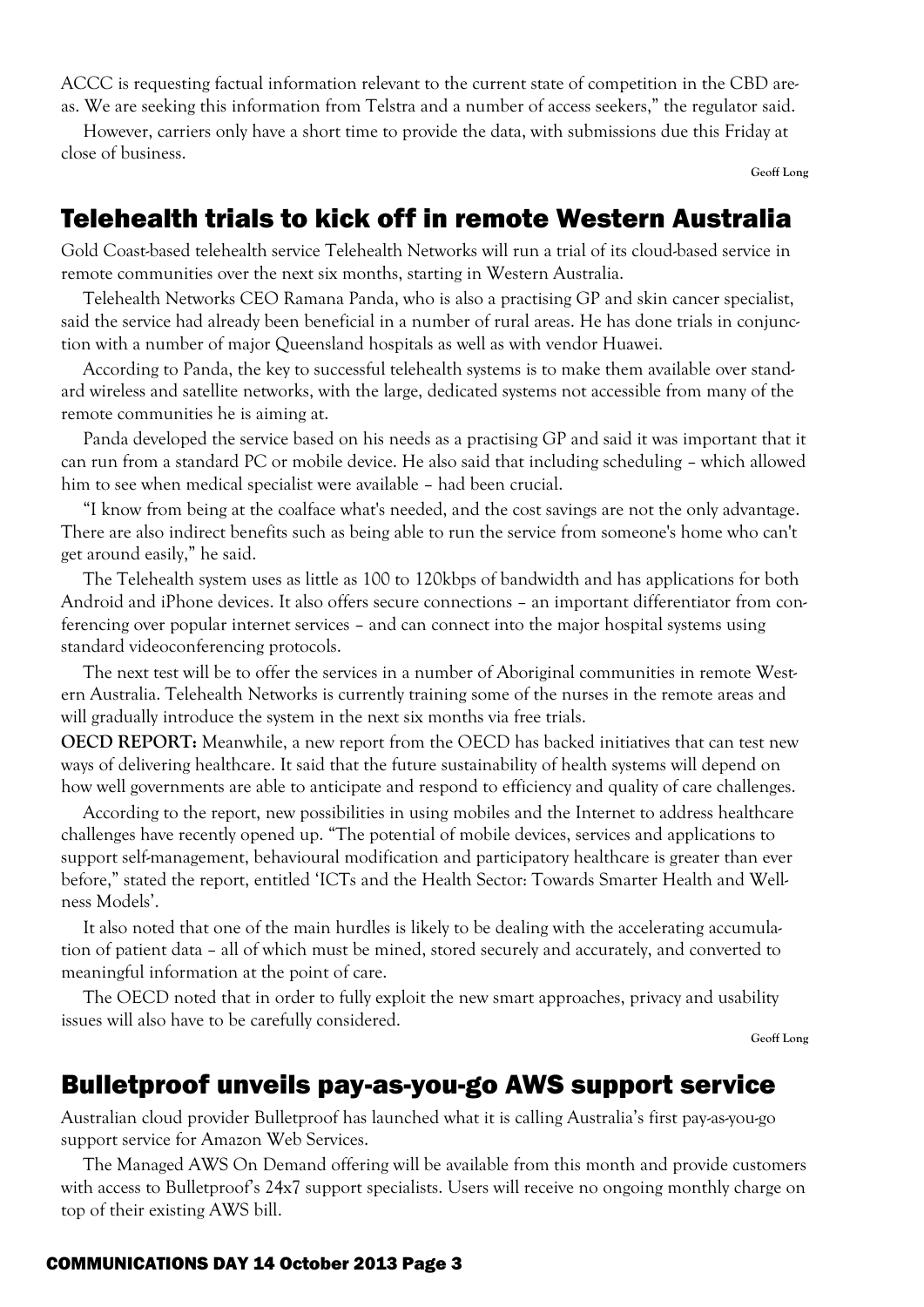ACCC is requesting factual information relevant to the current state of competition in the CBD areas. We are seeking this information from Telstra and a number of access seekers," the regulator said.

However, carriers only have a short time to provide the data, with submissions due this Friday at close of business.

**Geoff Long**

## Telehealth trials to kick off in remote Western Australia

Gold Coast-based telehealth service Telehealth Networks will run a trial of its cloud-based service in remote communities over the next six months, starting in Western Australia.

Telehealth Networks CEO Ramana Panda, who is also a practising GP and skin cancer specialist, said the service had already been beneficial in a number of rural areas. He has done trials in conjunction with a number of major Queensland hospitals as well as with vendor Huawei.

According to Panda, the key to successful telehealth systems is to make them available over standard wireless and satellite networks, with the large, dedicated systems not accessible from many of the remote communities he is aiming at.

Panda developed the service based on his needs as a practising GP and said it was important that it can run from a standard PC or mobile device. He also said that including scheduling – which allowed him to see when medical specialist were available – had been crucial.

"I know from being at the coalface what's needed, and the cost savings are not the only advantage. There are also indirect benefits such as being able to run the service from someone's home who can't get around easily," he said.

The Telehealth system uses as little as 100 to 120kbps of bandwidth and has applications for both Android and iPhone devices. It also offers secure connections – an important differentiator from conferencing over popular internet services – and can connect into the major hospital systems using standard videoconferencing protocols.

The next test will be to offer the services in a number of Aboriginal communities in remote Western Australia. Telehealth Networks is currently training some of the nurses in the remote areas and will gradually introduce the system in the next six months via free trials.

**OECD REPORT:** Meanwhile, a new report from the OECD has backed initiatives that can test new ways of delivering healthcare. It said that the future sustainability of health systems will depend on how well governments are able to anticipate and respond to efficiency and quality of care challenges.

According to the report, new possibilities in using mobiles and the Internet to address healthcare challenges have recently opened up. "The potential of mobile devices, services and applications to support self-management, behavioural modification and participatory healthcare is greater than ever before," stated the report, entitled 'ICTs and the Health Sector: Towards Smarter Health and Wellness Models'.

It also noted that one of the main hurdles is likely to be dealing with the accelerating accumulation of patient data – all of which must be mined, stored securely and accurately, and converted to meaningful information at the point of care.

The OECD noted that in order to fully exploit the new smart approaches, privacy and usability issues will also have to be carefully considered.

**Geoff Long**

## Bulletproof unveils pay-as-you-go AWS support service

Australian cloud provider Bulletproof has launched what it is calling Australia's first pay-as-you-go support service for Amazon Web Services.

The Managed AWS On Demand offering will be available from this month and provide customers with access to Bulletproof's 24x7 support specialists. Users will receive no ongoing monthly charge on top of their existing AWS bill.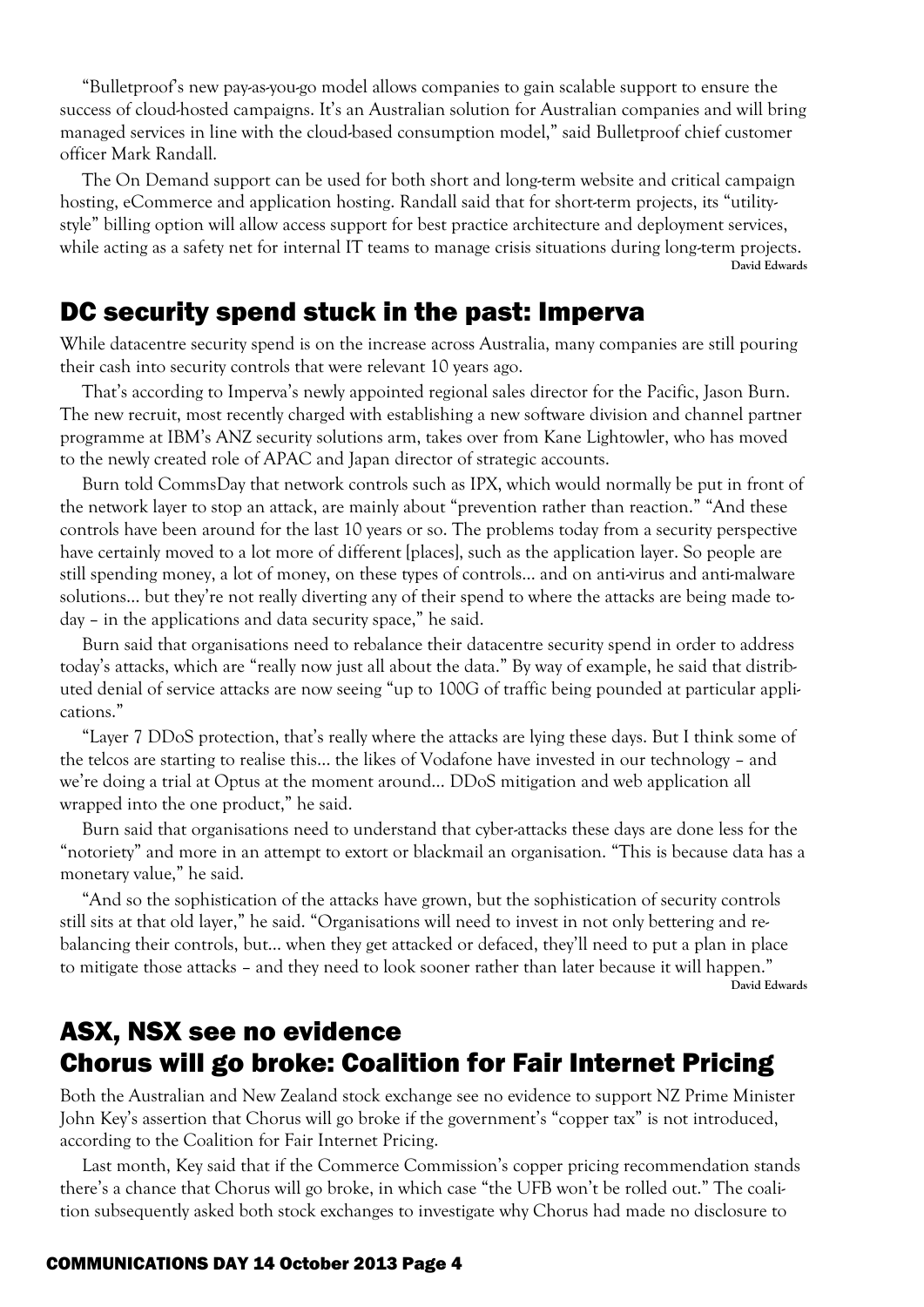"Bulletproof's new pay-as-you-go model allows companies to gain scalable support to ensure the success of cloud-hosted campaigns. It's an Australian solution for Australian companies and will bring managed services in line with the cloud-based consumption model," said Bulletproof chief customer officer Mark Randall.

The On Demand support can be used for both short and long-term website and critical campaign hosting, eCommerce and application hosting. Randall said that for short-term projects, its "utility style" billing option will allow access support for best practice architecture and deployment services, while acting as a safety net for internal IT teams to manage crisis situations during long-term projects. **David Edwards**

#### DC security spend stuck in the past: Imperva

While datacentre security spend is on the increase across Australia, many companies are still pouring their cash into security controls that were relevant 10 years ago.

That's according to Imperva's newly appointed regional sales director for the Pacific, Jason Burn. The new recruit, most recently charged with establishing a new software division and channel partner programme at IBM's ANZ security solutions arm, takes over from Kane Lightowler, who has moved to the newly created role of APAC and Japan director of strategic accounts.

Burn told CommsDay that network controls such as IPX, which would normally be put in front of the network layer to stop an attack, are mainly about "prevention rather than reaction." "And these controls have been around for the last 10 years or so. The problems today from a security perspective have certainly moved to a lot more of different [places], such as the application layer. So people are still spending money, a lot of money, on these types of controls… and on anti-virus and anti-malware solutions… but they're not really diverting any of their spend to where the attacks are being made today – in the applications and data security space," he said.

Burn said that organisations need to rebalance their datacentre security spend in order to address today's attacks, which are "really now just all about the data." By way of example, he said that distributed denial of service attacks are now seeing "up to 100G of traffic being pounded at particular applications."

"Layer 7 DDoS protection, that's really where the attacks are lying these days. But I think some of the telcos are starting to realise this… the likes of Vodafone have invested in our technology – and we're doing a trial at Optus at the moment around… DDoS mitigation and web application all wrapped into the one product," he said.

Burn said that organisations need to understand that cyber-attacks these days are done less for the "notoriety" and more in an attempt to extort or blackmail an organisation. "This is because data has a monetary value," he said.

"And so the sophistication of the attacks have grown, but the sophistication of security controls still sits at that old layer," he said. "Organisations will need to invest in not only bettering and rebalancing their controls, but… when they get attacked or defaced, they'll need to put a plan in place to mitigate those attacks – and they need to look sooner rather than later because it will happen." **David Edwards**

## ASX, NSX see no evidence Chorus will go broke: Coalition for Fair Internet Pricing

Both the Australian and New Zealand stock exchange see no evidence to support NZ Prime Minister John Key's assertion that Chorus will go broke if the government's "copper tax" is not introduced, according to the Coalition for Fair Internet Pricing.

Last month, Key said that if the Commerce Commission's copper pricing recommendation stands there's a chance that Chorus will go broke, in which case "the UFB won't be rolled out." The coalition subsequently asked both stock exchanges to investigate why Chorus had made no disclosure to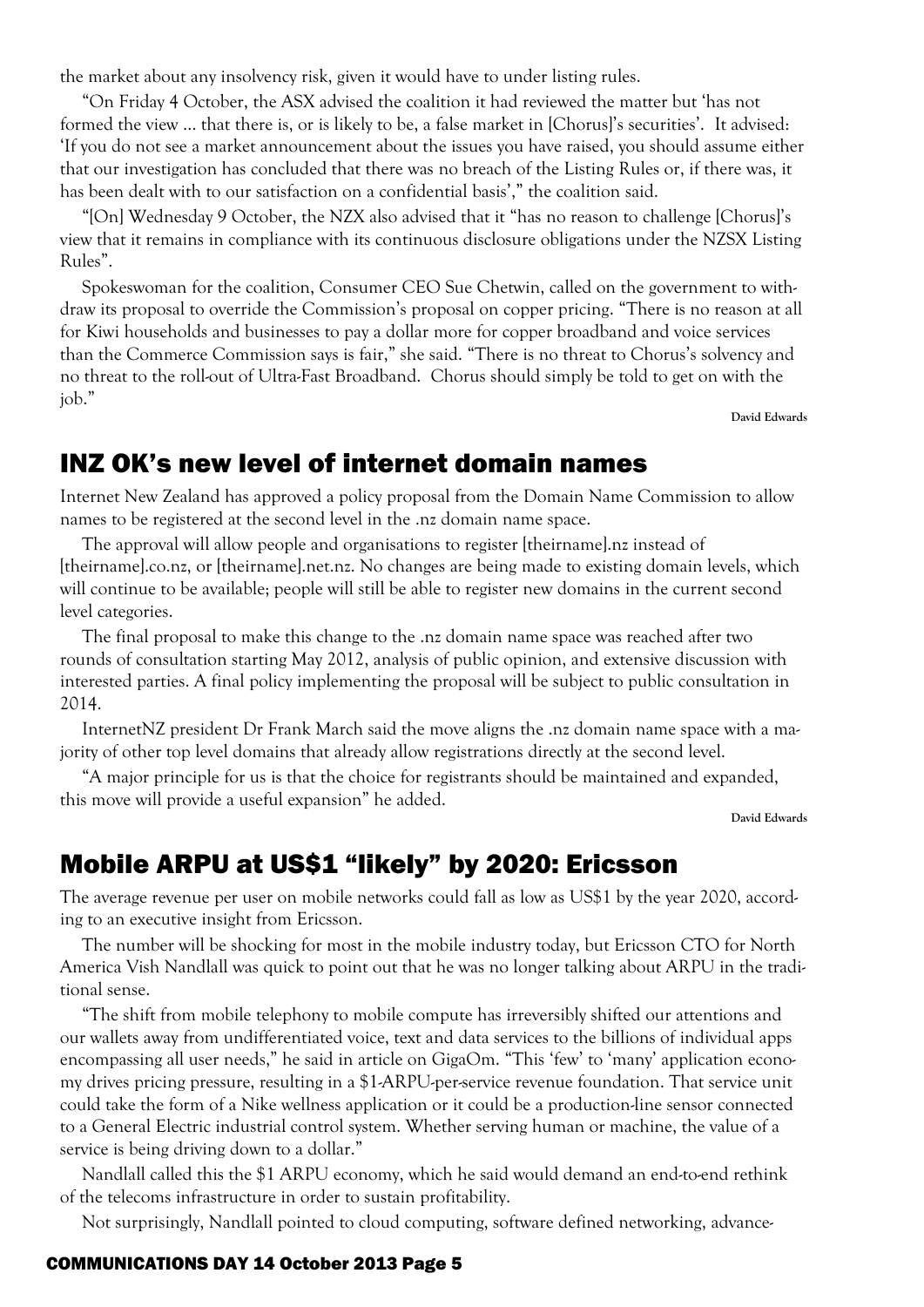the market about any insolvency risk, given it would have to under listing rules.

"On Friday 4 October, the ASX advised the coalition it had reviewed the matter but 'has not formed the view … that there is, or is likely to be, a false market in [Chorus]'s securities'. It advised: 'If you do not see a market announcement about the issues you have raised, you should assume either that our investigation has concluded that there was no breach of the Listing Rules or, if there was, it has been dealt with to our satisfaction on a confidential basis'," the coalition said.

"[On] Wednesday 9 October, the NZX also advised that it "has no reason to challenge [Chorus]'s view that it remains in compliance with its continuous disclosure obligations under the NZSX Listing Rules".

Spokeswoman for the coalition, Consumer CEO Sue Chetwin, called on the government to withdraw its proposal to override the Commission's proposal on copper pricing. "There is no reason at all for Kiwi households and businesses to pay a dollar more for copper broadband and voice services than the Commerce Commission says is fair," she said. "There is no threat to Chorus's solvency and no threat to the roll-out of Ultra-Fast Broadband. Chorus should simply be told to get on with the job."

**David Edwards**

### INZ OK's new level of internet domain names

Internet New Zealand has approved a policy proposal from the Domain Name Commission to allow names to be registered at the second level in the .nz domain name space.

The approval will allow people and organisations to register [theirname].nz instead of [theirname].co.nz, or [theirname].net.nz. No changes are being made to existing domain levels, which will continue to be available; people will still be able to register new domains in the current second level categories.

The final proposal to make this change to the .nz domain name space was reached after two rounds of consultation starting May 2012, analysis of public opinion, and extensive discussion with interested parties. A final policy implementing the proposal will be subject to public consultation in 2014.

InternetNZ president Dr Frank March said the move aligns the .nz domain name space with a majority of other top level domains that already allow registrations directly at the second level.

"A major principle for us is that the choice for registrants should be maintained and expanded, this move will provide a useful expansion" he added.

**David Edwards**

## Mobile ARPU at US\$1 "likely" by 2020: Ericsson

The average revenue per user on mobile networks could fall as low as US\$1 by the year 2020, according to an executive insight from Ericsson.

The number will be shocking for most in the mobile industry today, but Ericsson CTO for North America Vish Nandlall was quick to point out that he was no longer talking about ARPU in the traditional sense.

"The shift from mobile telephony to mobile compute has irreversibly shifted our attentions and our wallets away from undifferentiated voice, text and data services to the billions of individual apps encompassing all user needs," he said in article on GigaOm. "This 'few' to 'many' application economy drives pricing pressure, resulting in a \$1-ARPU-per-service revenue foundation. That service unit could take the form of a Nike wellness application or it could be a production-line sensor connected to a General Electric industrial control system. Whether serving human or machine, the value of a service is being driving down to a dollar."

Nandlall called this the \$1 ARPU economy, which he said would demand an end-to-end rethink of the telecoms infrastructure in order to sustain profitability.

Not surprisingly, Nandlall pointed to cloud computing, software defined networking, advance-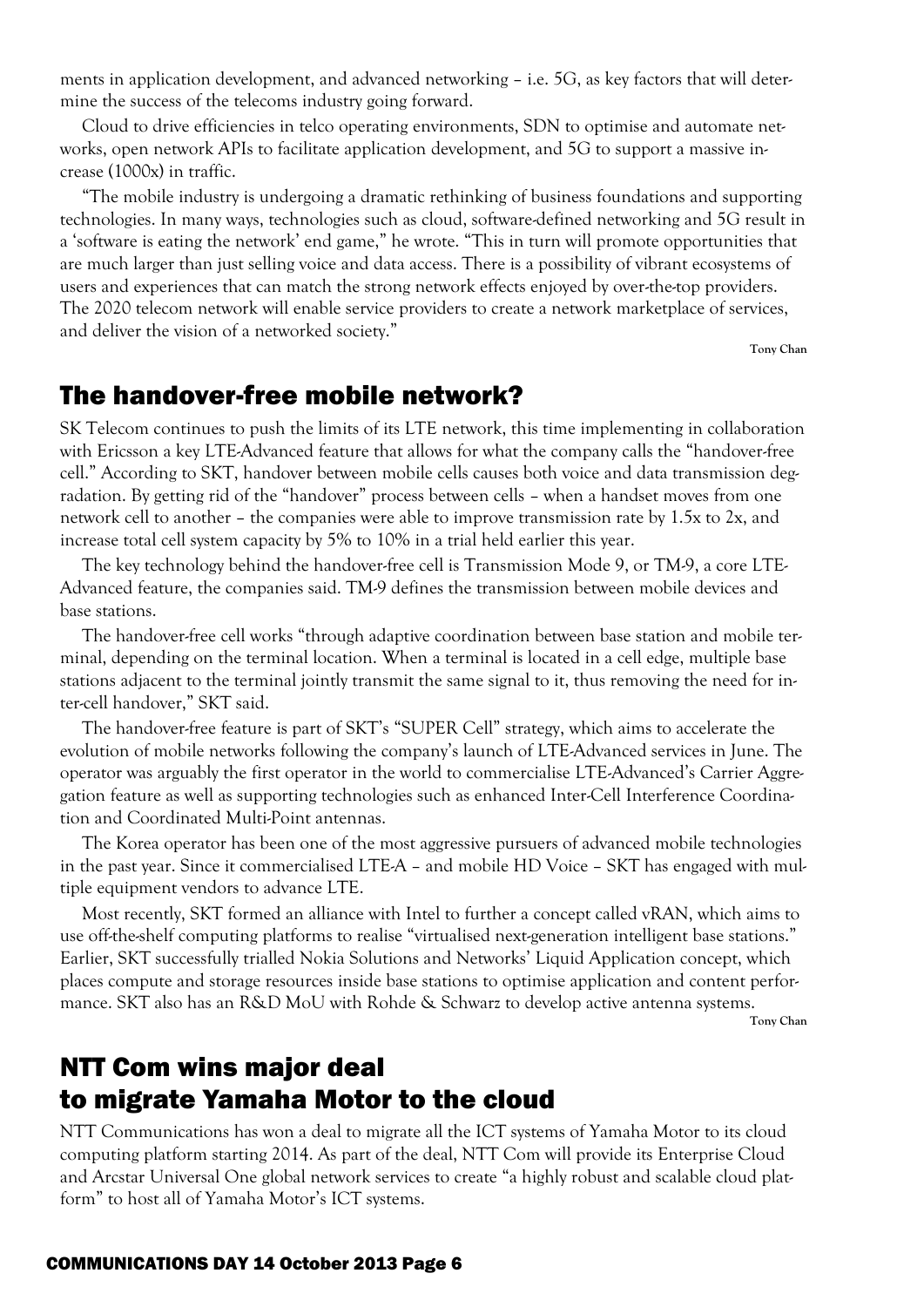ments in application development, and advanced networking – i.e. 5G, as key factors that will determine the success of the telecoms industry going forward.

Cloud to drive efficiencies in telco operating environments, SDN to optimise and automate networks, open network APIs to facilitate application development, and 5G to support a massive increase (1000x) in traffic.

"The mobile industry is undergoing a dramatic rethinking of business foundations and supporting technologies. In many ways, technologies such as cloud, software-defined networking and 5G result in a 'software is eating the network' end game," he wrote. "This in turn will promote opportunities that are much larger than just selling voice and data access. There is a possibility of vibrant ecosystems of users and experiences that can match the strong network effects enjoyed by over-the-top providers. The 2020 telecom network will enable service providers to create a network marketplace of services, and deliver the vision of a networked society."

**Tony Chan**

#### The handover-free mobile network?

SK Telecom continues to push the limits of its LTE network, this time implementing in collaboration with Ericsson a key LTE-Advanced feature that allows for what the company calls the "handover-free cell." According to SKT, handover between mobile cells causes both voice and data transmission degradation. By getting rid of the "handover" process between cells – when a handset moves from one network cell to another – the companies were able to improve transmission rate by 1.5x to 2x, and increase total cell system capacity by 5% to 10% in a trial held earlier this year.

The key technology behind the handover-free cell is Transmission Mode 9, or TM-9, a core LTE- Advanced feature, the companies said. TM-9 defines the transmission between mobile devices and base stations.

The handover-free cell works "through adaptive coordination between base station and mobile terminal, depending on the terminal location. When a terminal is located in a cell edge, multiple base stations adjacent to the terminal jointly transmit the same signal to it, thus removing the need for inter-cell handover," SKT said.

The handover-free feature is part of SKT's "SUPER Cell" strategy, which aims to accelerate the evolution of mobile networks following the company's launch of LTE-Advanced services in June. The operator was arguably the first operator in the world to commercialise LTE-Advanced's Carrier Aggregation feature as well as supporting technologies such as enhanced Inter-Cell Interference Coordination and Coordinated Multi-Point antennas.

The Korea operator has been one of the most aggressive pursuers of advanced mobile technologies in the past year. Since it commercialised LTE-A – and mobile HD Voice – SKT has engaged with multiple equipment vendors to advance LTE.

Most recently, SKT formed an alliance with Intel to further a concept called vRAN, which aims to use off-the-shelf computing platforms to realise "virtualised next-generation intelligent base stations." Earlier, SKT successfully trialled Nokia Solutions and Networks' Liquid Application concept, which places compute and storage resources inside base stations to optimise application and content performance. SKT also has an R&D MoU with Rohde & Schwarz to develop active antenna systems.

**Tony Chan**

## NTT Com wins major deal to migrate Yamaha Motor to the cloud

NTT Communications has won a deal to migrate all the ICT systems of Yamaha Motor to its cloud computing platform starting 2014. As part of the deal, NTT Com will provide its Enterprise Cloud and Arcstar Universal One global network services to create "a highly robust and scalable cloud platform" to host all of Yamaha Motor's ICT systems.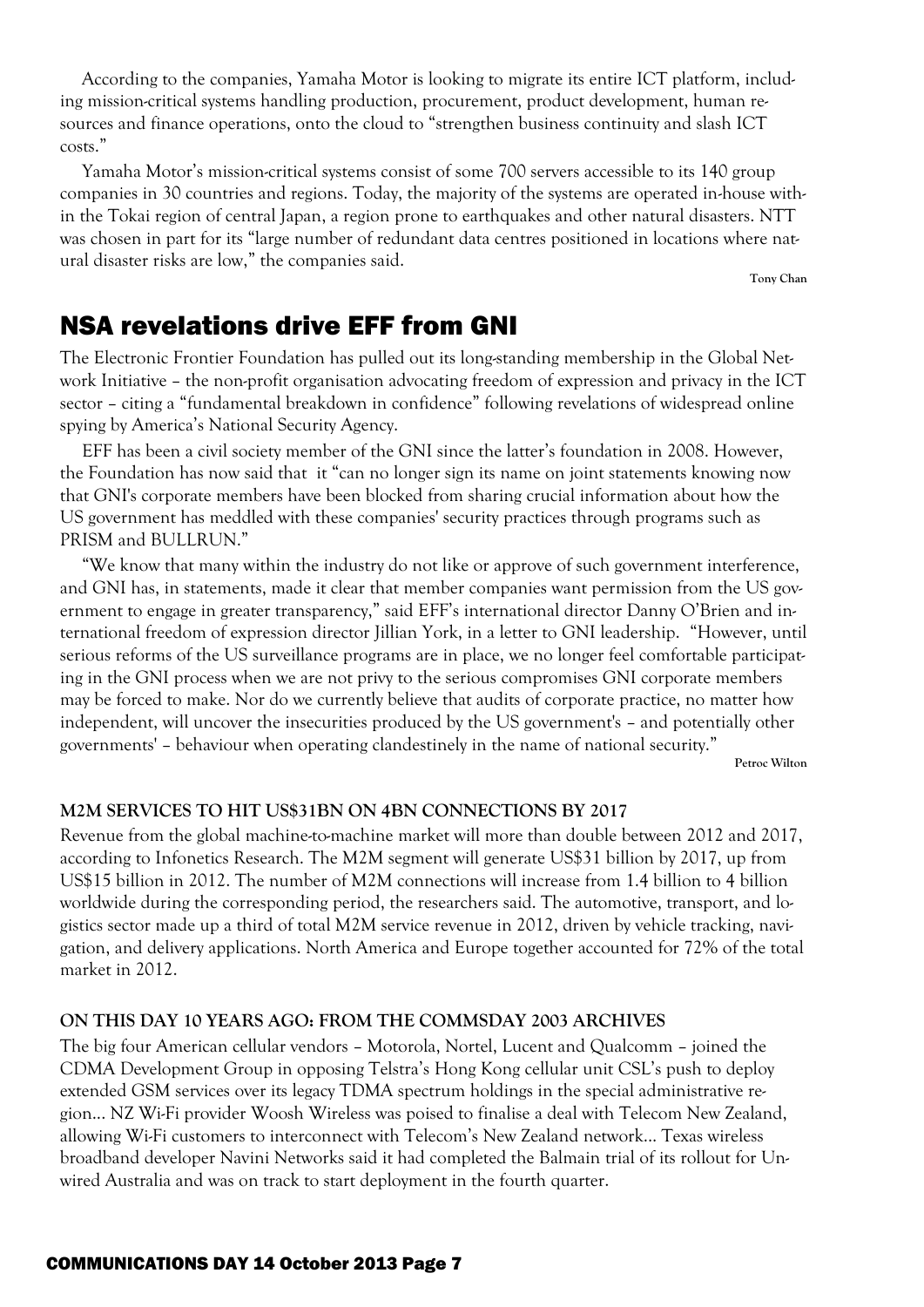According to the companies, Yamaha Motor is looking to migrate its entire ICT platform, including mission-critical systems handling production, procurement, product development, human resources and finance operations, onto the cloud to "strengthen business continuity and slash ICT costs."

Yamaha Motor's mission-critical systems consist of some 700 servers accessible to its 140 group companies in 30 countries and regions. Today, the majority of the systems are operated in-house within the Tokai region of central Japan, a region prone to earthquakes and other natural disasters. NTT was chosen in part for its "large number of redundant data centres positioned in locations where natural disaster risks are low," the companies said.

**Tony Chan**

## NSA revelations drive EFF from GNI

The Electronic Frontier Foundation has pulled out its long-standing membership in the Global Network Initiative – the non-profit organisation advocating freedom of expression and privacy in the ICT sector – citing a "fundamental breakdown in confidence" following revelations of widespread online spying by America's National Security Agency.

EFF has been a civil society member of the GNI since the latter's foundation in 2008. However, the Foundation has now said that it "can no longer sign its name on joint statements knowing now that GNI's corporate members have been blocked from sharing crucial information about how the US government has meddled with these companies' security practices through programs such as PRISM and BULLRUN."

"We know that many within the industry do not like or approve of such government interference, and GNI has, in statements, made it clear that member companies want permission from the US government to engage in greater transparency," said EFF's international director Danny O'Brien and international freedom of expression director Jillian York, in a letter to GNI leadership. "However, until serious reforms of the US surveillance programs are in place, we no longer feel comfortable participating in the GNI process when we are not privy to the serious compromises GNI corporate members may be forced to make. Nor do we currently believe that audits of corporate practice, no matter how independent, will uncover the insecurities produced by the US government's – and potentially other governments' – behaviour when operating clandestinely in the name of national security."

**Petroc Wilton**

#### **M2M SERVICES TO HIT US\$31BN ON 4BN CONNECTIONS BY 2017**

Revenue from the global machine-to-machine market will more than double between 2012 and 2017, according to Infonetics Research. The M2M segment will generate US\$31 billion by 2017, up from US\$15 billion in 2012. The number of M2M connections will increase from 1.4 billion to 4 billion worldwide during the corresponding period, the researchers said. The automotive, transport, and logistics sector made up a third of total M2M service revenue in 2012, driven by vehicle tracking, navigation, and delivery applications. North America and Europe together accounted for 72% of the total market in 2012.

#### **ON THIS DAY 10 YEARS AGO: FROM THE COMMSDAY 2003 ARCHIVES**

The big four American cellular vendors – Motorola, Nortel, Lucent and Qualcomm – joined the CDMA Development Group in opposing Telstra's Hong Kong cellular unit CSL's push to deploy extended GSM services over its legacy TDMA spectrum holdings in the special administrative region... NZ Wi-Fi provider Woosh Wireless was poised to finalise a deal with Telecom New Zealand, allowing Wi-Fi customers to interconnect with Telecom's New Zealand network... Texas wireless broadband developer Navini Networks said it had completed the Balmain trial of its rollout for Unwired Australia and was on track to start deployment in the fourth quarter.